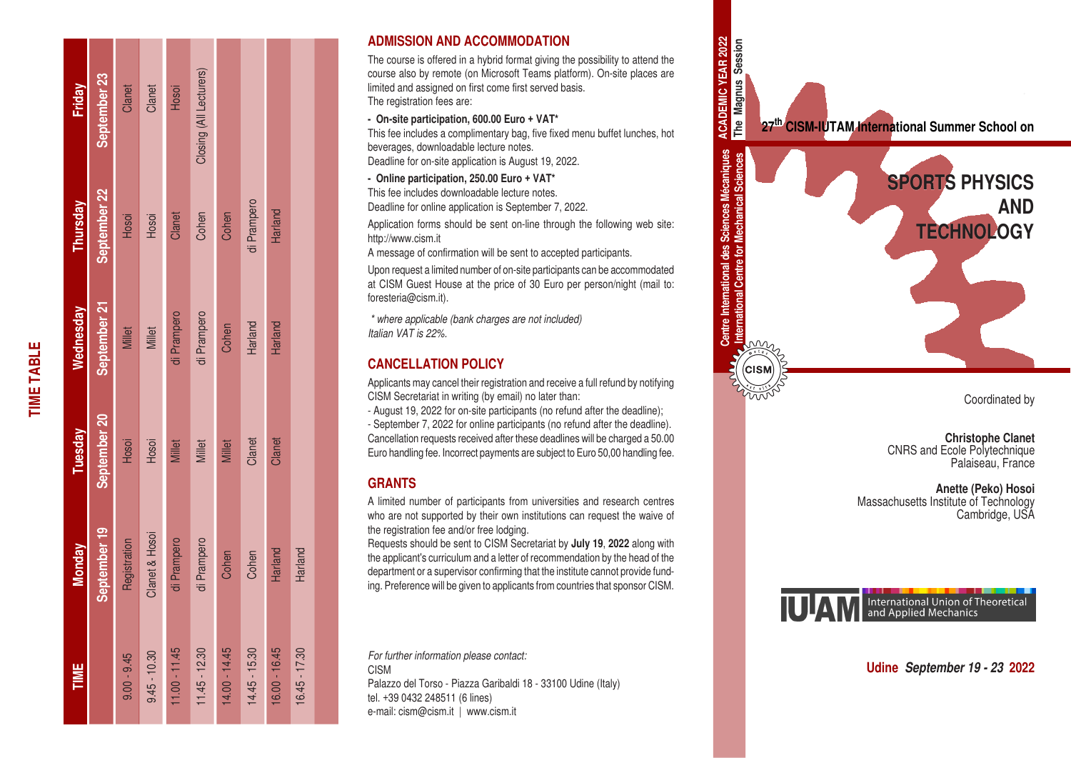| Friday    | September 23 | Clanet        | Clanet         | Hosoi           | Closing (All Lecturers) |               |                 |               |                 |
|-----------|--------------|---------------|----------------|-----------------|-------------------------|---------------|-----------------|---------------|-----------------|
| Thursday  | September 22 | Hosoi         | Hosoi          | Clanet          | Cohen                   | Cohen         | di Prampero     | Harland       |                 |
| Wednesday | September 21 | Millet        | Millet         | di Prampero     | di Prampero             | Cohen         | Harland         | Harland       |                 |
| Tuesday   | September 20 | Hosoi         | Hosoi          | <b>Millet</b>   | <b>Millet</b>           | <b>Millet</b> | Clanet          | Clanet        |                 |
| Monday    | September 19 | Registration  | Clanet & Hosoi | di Prampero     | di Prampero             | Cohen         | Cohen           | Harland       | Harland         |
| TIME      |              | $9.00 - 9.45$ | $9.45 - 10.30$ | $11.00 - 11.45$ | $11.45 - 12.30$         | 14.00 - 14.45 | $14.45 - 15.30$ | 16.00 - 16.45 | $16.45 - 17.30$ |

**TIME TABLE**

**TIME TABLE** 

## **ADMISSION AND ACCOMMODATION**

The course is offered in a hybrid format giving the possibility to attend the course also by remote (on Microsoft Teams platform). On-site places are limited and assigned on first come first served basis. The registration fees are:

**- On-site participation, 600.00 Euro + VAT\***

This fee includes a complimentary bag, five fixed menu buffet lunches, hot beverages, downloadable lecture notes. Deadline for on-site application is August 19, 2022.

**- Online participation, 250.00 Euro + VAT\***

This fee includes downloadable lecture notes.

Deadline for online application is September 7, 2022.

Application forms should be sent on-line through the following web site: http://www.cism.it

A message of confirmation will be sent to accepted participants.

Upon request a limited number of on-site participants can be accommodated at CISM Guest House at the price of 30 Euro per person/night (mail to: foresteria@cism.it).

*\* where applicable (bank charges are not included) Italian VAT is 22%.*

# **CANCELLATION POLICY**

Applicants may cancel their registration and receive a full refund by notifying CISM Secretariat in writing (by email) no later than:

- August 19, 2022 for on-site participants (no refund after the deadline);

- September 7, 2022 for online participants (no refund after the deadline). Cancellation requests received after these deadlines will be charged a 50.00 Euro handling fee. Incorrect payments are subject to Euro 50,00 handling fee.

# **GRANTS**

A limited number of participants from universities and research centres who are not supported by their own institutions can request the waive of the registration fee and/or free lodging.

Requests should be sent to CISM Secretariat by **July 19**, **2022** along with the applicant's curriculum and a letter of recommendation by the head of the department or a supervisor confirming that the institute cannot provide fund ing. Preference will be given to applicants from countries that sponsor CISM.

*For further information please contact:* CISM Palazzo del Torso - Piazza Garibaldi 18 - 33100 Udine (Italy) tel. +39 0432 248511 (6 lines) e-mail: cism@cism.it | www.cism.it



**Christophe Clanet** CNRS and Ecole Polytechnique Palaiseau, France

**Anette (Peko) Hosoi** Massachusetts Institute of Technology Cambridge, USA



**Udine** *September 19 - 23* **2022**